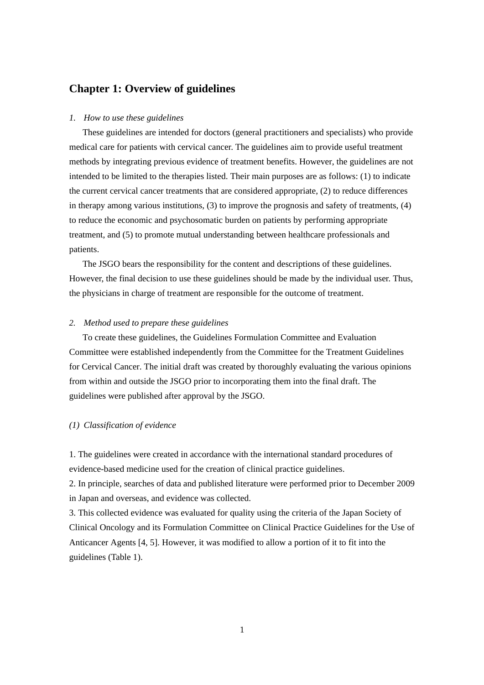# **Chapter 1: Overview of guidelines**

#### *1. How to use these guidelines*

These guidelines are intended for doctors (general practitioners and specialists) who provide medical care for patients with cervical cancer. The guidelines aim to provide useful treatment methods by integrating previous evidence of treatment benefits. However, the guidelines are not intended to be limited to the therapies listed. Their main purposes are as follows: (1) to indicate the current cervical cancer treatments that are considered appropriate, (2) to reduce differences in therapy among various institutions, (3) to improve the prognosis and safety of treatments, (4) to reduce the economic and psychosomatic burden on patients by performing appropriate treatment, and (5) to promote mutual understanding between healthcare professionals and patients.

The JSGO bears the responsibility for the content and descriptions of these guidelines. However, the final decision to use these guidelines should be made by the individual user. Thus, the physicians in charge of treatment are responsible for the outcome of treatment.

## *2. Method used to prepare these guidelines*

To create these guidelines, the Guidelines Formulation Committee and Evaluation Committee were established independently from the Committee for the Treatment Guidelines for Cervical Cancer. The initial draft was created by thoroughly evaluating the various opinions from within and outside the JSGO prior to incorporating them into the final draft. The guidelines were published after approval by the JSGO.

### *(1) Classification of evidence*

1. The guidelines were created in accordance with the international standard procedures of evidence-based medicine used for the creation of clinical practice guidelines.

2. In principle, searches of data and published literature were performed prior to December 2009 in Japan and overseas, and evidence was collected.

3. This collected evidence was evaluated for quality using the criteria of the Japan Society of Clinical Oncology and its Formulation Committee on Clinical Practice Guidelines for the Use of Anticancer Agents [4, 5]. However, it was modified to allow a portion of it to fit into the guidelines (Table 1).